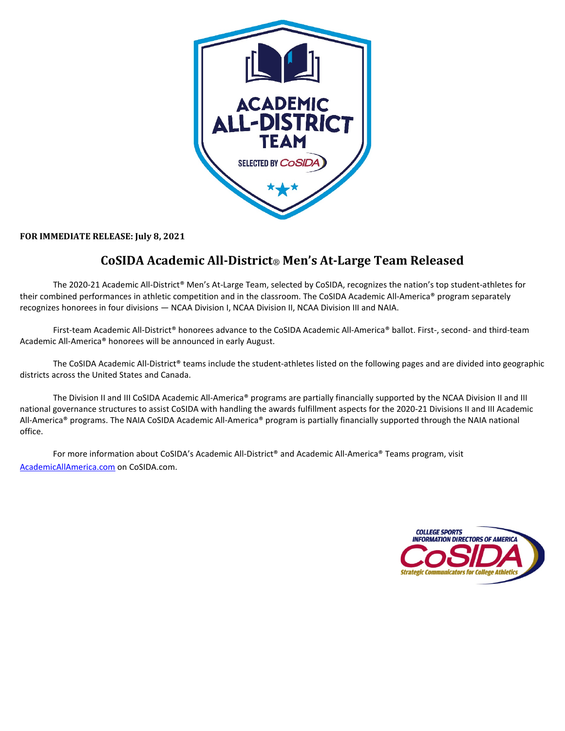

**FOR IMMEDIATE RELEASE: July 8, 2021**

## **CoSIDA Academic All-District**® **Men's At-Large Team Released**

The 2020-21 Academic All-District® Men's At-Large Team, selected by CoSIDA, recognizes the nation's top student-athletes for their combined performances in athletic competition and in the classroom. The CoSIDA Academic All-America® program separately recognizes honorees in four divisions — NCAA Division I, NCAA Division II, NCAA Division III and NAIA.

First-team Academic All-District® honorees advance to the CoSIDA Academic All-America® ballot. First-, second- and third-team Academic All-America® honorees will be announced in early August.

The CoSIDA Academic All-District® teams include the student-athletes listed on the following pages and are divided into geographic districts across the United States and Canada.

The Division II and III CoSIDA Academic All-America® programs are partially financially supported by the NCAA Division II and III national governance structures to assist CoSIDA with handling the awards fulfillment aspects for the 2020-21 Divisions II and III Academic All-America® programs. The NAIA CoSIDA Academic All-America® program is partially financially supported through the NAIA national office.

For more information about CoSIDA's Academic All-District<sup>®</sup> and Academic All-America<sup>®</sup> Teams program, visit [AcademicAllAmerica.com](http://academicallamerica.com/) on CoSIDA.com.

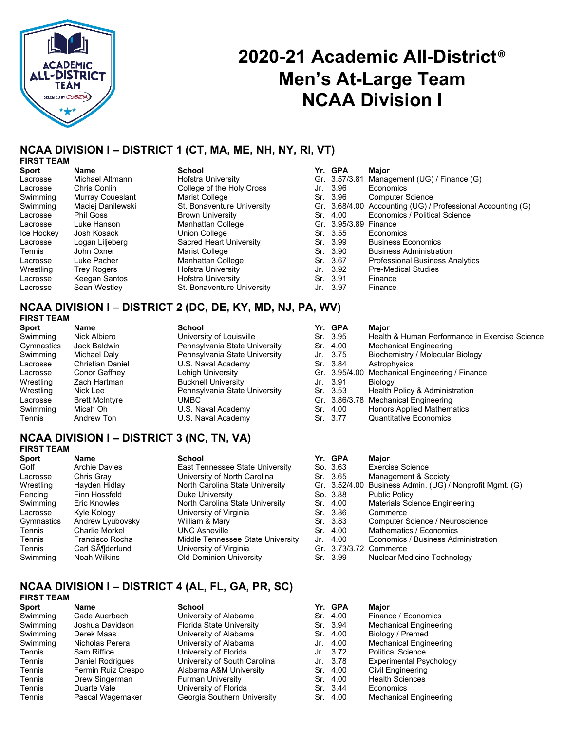

# **2020-21 Academic All-District**® **Men's At-Large Team NCAA Division I**

## **NCAA DIVISION I – DISTRICT 1 (CT, MA, ME, NH, NY, RI, VT)**

### **FIRST TEAM**

| <b>Sport</b> | Name               | <b>School</b>              | Yr. GPA       | Major                                                       |
|--------------|--------------------|----------------------------|---------------|-------------------------------------------------------------|
| Lacrosse     | Michael Altmann    | Hofstra University         | Gr. 3.57/3.81 | Management (UG) / Finance (G)                               |
| Lacrosse     | Chris Conlin       | College of the Holy Cross  | Jr. 3.96      | Economics                                                   |
| Swimming     | Murray Coueslant   | Marist College             | Sr. 3.96      | <b>Computer Science</b>                                     |
| Swimming     | Maciej Danilewski  | St. Bonaventure University |               | Gr. 3.68/4.00 Accounting (UG) / Professional Accounting (G) |
| Lacrosse     | <b>Phil Goss</b>   | <b>Brown University</b>    | Sr. 4.00      | Economics / Political Science                               |
| Lacrosse     | Luke Hanson        | Manhattan College          | Gr. 3.95/3.89 | Finance                                                     |
| Ice Hockey   | Josh Kosack        | Union College              | Sr. 3.55      | Economics                                                   |
| Lacrosse     | Logan Liljeberg    | Sacred Heart University    | Sr. 3.99      | <b>Business Economics</b>                                   |
| Tennis       | John Oxner         | Marist College             | Sr. 3.90      | <b>Business Administration</b>                              |
| Lacrosse     | Luke Pacher        | Manhattan College          | Sr. 3.67      | Professional Business Analytics                             |
| Wrestling    | <b>Trey Rogers</b> | Hofstra University         | Jr. 3.92      | <b>Pre-Medical Studies</b>                                  |
| Lacrosse     | Keegan Santos      | <b>Hofstra University</b>  | Sr. 3.91      | Finance                                                     |
| Lacrosse     | Sean Westley       | St. Bonaventure University | Jr. 3.97      | Finance                                                     |

### **NCAA DIVISION I – DISTRICT 2 (DC, DE, KY, MD, NJ, PA, WV) FIRST TEAM**

| <b>Name</b>             | <b>School</b>                 |  | Maior                                                                                                   |
|-------------------------|-------------------------------|--|---------------------------------------------------------------------------------------------------------|
| Nick Albiero            | University of Louisville      |  | Health & Human Performance in Exercise Science                                                          |
| Jack Baldwin            | Pennsylvania State University |  | Mechanical Engineering                                                                                  |
| Michael Daly            | Pennsylvania State University |  | Biochemistry / Molecular Biology                                                                        |
| <b>Christian Daniel</b> | U.S. Naval Academy            |  | Astrophysics                                                                                            |
| Conor Gaffney           | Lehigh University             |  | Gr. 3.95/4.00 Mechanical Engineering / Finance                                                          |
| Zach Hartman            | <b>Bucknell University</b>    |  | <b>Biology</b>                                                                                          |
| Nick Lee                | Pennsylvania State University |  | Health Policy & Administration                                                                          |
| <b>Brett McIntyre</b>   | <b>UMBC</b>                   |  | Gr. 3.86/3.78 Mechanical Engineering                                                                    |
| Micah Oh                | U.S. Naval Academy            |  | <b>Honors Applied Mathematics</b>                                                                       |
| Andrew Ton              | U.S. Naval Academy            |  | <b>Quantitative Economics</b>                                                                           |
|                         |                               |  | Yr. GPA<br>Sr. 3.95<br>Sr. 4.00<br>Jr. 3.75<br>Sr. 3.84<br>Jr. 3.91<br>Sr. 3.53<br>Sr. 4.00<br>Sr. 3.77 |

## **NCAA DIVISION I – DISTRICT 3 (NC, TN, VA)**

## **FIRST TEAM**

| <b>Sport</b> | Name                 | <b>School</b>                     |     | Yr. GPA  | Major                                                    |
|--------------|----------------------|-----------------------------------|-----|----------|----------------------------------------------------------|
| Golf         | <b>Archie Davies</b> | East Tennessee State University   |     | So. 3.63 | <b>Exercise Science</b>                                  |
| Lacrosse     | Chris Gray           | University of North Carolina      |     | Sr. 3.65 | Management & Society                                     |
| Wrestling    | Hayden Hidlay        | North Carolina State University   |     |          | Gr. 3.52/4.00 Business Admin. (UG) / Nonprofit Mgmt. (G) |
| Fencing      | Finn Hossfeld        | Duke University                   |     | So. 3.88 | <b>Public Policy</b>                                     |
| Swimming     | Eric Knowles         | North Carolina State University   |     | Sr. 4.00 | Materials Science Engineering                            |
| Lacrosse     | Kyle Kology          | University of Virginia            |     | Sr. 3.86 | Commerce                                                 |
| Gymnastics   | Andrew Lyubovsky     | William & Mary                    |     | Sr. 3.83 | Computer Science / Neuroscience                          |
| Tennis       | Charlie Morkel       | <b>UNC Asheville</b>              |     | Sr. 4.00 | Mathematics / Economics                                  |
| Tennis       | Francisco Rocha      | Middle Tennessee State University | Jr. | 4.00     | Economics / Business Administration                      |
| Tennis       | Carl SA¶derlund      | University of Virginia            |     |          | Gr. 3.73/3.72 Commerce                                   |
| Swimming     | Noah Wilkins         | <b>Old Dominion University</b>    |     | Sr. 3.99 | Nuclear Medicine Technology                              |

### **NCAA DIVISION I – DISTRICT 4 (AL, FL, GA, PR, SC) FIRST TEAM**

| <b>Sport</b> | Name               | <b>School</b>                | Yr. GPA  | Maior                          |
|--------------|--------------------|------------------------------|----------|--------------------------------|
| Swimming     | Cade Auerbach      | University of Alabama        | Sr. 4.00 | Finance / Economics            |
| Swimming     | Joshua Davidson    | Florida State University     | Sr. 3.94 | Mechanical Engineering         |
| Swimming     | Derek Maas         | University of Alabama        | Sr. 4.00 | Biology / Premed               |
| Swimming     | Nicholas Perera    | University of Alabama        | Jr. 4.00 | <b>Mechanical Engineering</b>  |
| Tennis       | Sam Riffice        | University of Florida        | Jr. 3.72 | <b>Political Science</b>       |
| Tennis       | Daniel Rodrigues   | University of South Carolina | Jr. 3.78 | <b>Experimental Psychology</b> |
| Tennis       | Fermin Ruiz Crespo | Alabama A&M University       | Sr. 4.00 | Civil Engineering              |
| Tennis       | Drew Singerman     | <b>Furman University</b>     | Sr. 4.00 | <b>Health Sciences</b>         |
| Tennis       | Duarte Vale        | University of Florida        | Sr. 3.44 | Economics                      |
| Tennis       | Pascal Wagemaker   | Georgia Southern University  | Sr. 4.00 | <b>Mechanical Engineering</b>  |
|              |                    |                              |          |                                |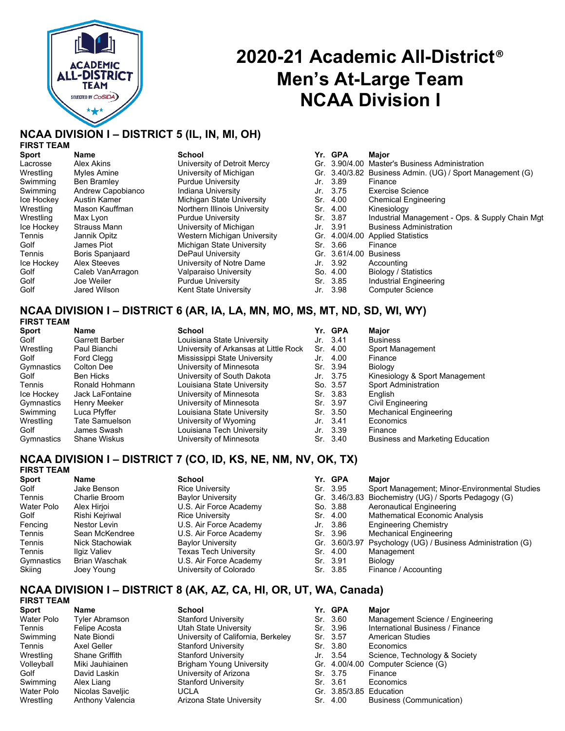

## **2020-21 Academic All-District**® **Men's At-Large Team NCAA Division I**

## **NCAA DIVISION I – DISTRICT 5 (IL, IN, MI, OH)**

## **FIRST TEAM**

| Gr. 3.90/4.00 Master's Business Administration<br>Alex Akins<br>University of Detroit Mercy<br>Lacrosse<br>University of Michigan<br>Wrestling<br>Myles Amine | Gr. 3.40/3.82 Business Admin. (UG) / Sport Management (G) |
|---------------------------------------------------------------------------------------------------------------------------------------------------------------|-----------------------------------------------------------|
|                                                                                                                                                               |                                                           |
|                                                                                                                                                               |                                                           |
| Swimming<br><b>Purdue University</b><br>Ben Bramley<br>Jr. 3.89<br>Finance                                                                                    |                                                           |
| Indiana University<br>Swimming<br>Andrew Capobianco<br><b>Exercise Science</b><br>Jr. 3.75                                                                    |                                                           |
| Michigan State University<br>Ice Hockey<br>Austin Kamer<br>Sr. 4.00                                                                                           | <b>Chemical Engineering</b>                               |
| Northern Illinois University<br>Wrestling<br>Kinesiology<br>Mason Kauffman<br>Sr. 4.00                                                                        |                                                           |
| Sr. 3.87<br>Wrestling<br><b>Purdue University</b><br>Max Lyon                                                                                                 | Industrial Management - Ops. & Supply Chain Mgt           |
| Ice Hockey<br>University of Michigan<br><b>Strauss Mann</b><br>Jr. 3.91                                                                                       | <b>Business Administration</b>                            |
| Western Michigan University<br>Gr. 4.00/4.00 Applied Statistics<br>Tennis<br>Jannik Opitz                                                                     |                                                           |
| Michigan State University<br>Golf<br>Sr. 3.66<br>James Piot<br>Finance                                                                                        |                                                           |
| <b>Boris Spanjaard</b><br>DePaul University<br>Gr. 3.61/4.00<br>Tennis<br><b>Business</b>                                                                     |                                                           |
| Alex Steeves<br>University of Notre Dame<br>Ice Hockey<br>Jr. 3.92<br>Accounting                                                                              |                                                           |
| Golf<br>Valparaiso University<br>Caleb VanArragon<br>Biology / Statistics<br>So. 4.00                                                                         |                                                           |
| Golf<br>Joe Weiler<br><b>Purdue University</b><br>Sr. 3.85                                                                                                    | Industrial Engineering                                    |
| Golf<br>Kent State University<br><b>Computer Science</b><br>Jr. 3.98<br>Jared Wilson                                                                          |                                                           |

#### **NCAA DIVISION I – DISTRICT 6 (AR, IA, LA, MN, MO, MS, MT, ND, SD, WI, WY) FIRST TEAM**

| Name                  | School                                |  | Major                                                                                                                                                   |
|-----------------------|---------------------------------------|--|---------------------------------------------------------------------------------------------------------------------------------------------------------|
| <b>Garrett Barber</b> | Louisiana State University            |  | <b>Business</b>                                                                                                                                         |
| Paul Bianchi          | University of Arkansas at Little Rock |  | Sport Management                                                                                                                                        |
| Ford Clegg            | Mississippi State University          |  | Finance                                                                                                                                                 |
| Colton Dee            | University of Minnesota               |  | Biology                                                                                                                                                 |
| Ben Hicks             | University of South Dakota            |  | Kinesiology & Sport Management                                                                                                                          |
| Ronald Hohmann        | Louisiana State University            |  | <b>Sport Administration</b>                                                                                                                             |
| Jack LaFontaine       | University of Minnesota               |  | English                                                                                                                                                 |
| Henry Meeker          | University of Minnesota               |  | Civil Engineering                                                                                                                                       |
| Luca Pfyffer          | Louisiana State University            |  | <b>Mechanical Engineering</b>                                                                                                                           |
| Tate Samuelson        | University of Wyoming                 |  | Economics                                                                                                                                               |
| James Swash           | Louisiana Tech University             |  | Finance                                                                                                                                                 |
| <b>Shane Wiskus</b>   | University of Minnesota               |  | <b>Business and Marketing Education</b>                                                                                                                 |
|                       | <b>FIRƏI I EAM</b>                    |  | Yr. GPA<br>Jr. 3.41<br>Sr. 4.00<br>Jr. 4.00<br>Sr. 3.94<br>Jr. 3.75<br>So. 3.57<br>Sr. 3.83<br>Sr. 3.97<br>Sr. 3.50<br>Jr. 3.41<br>Jr. 3.39<br>Sr. 3.40 |

#### **NCAA DIVISION I – DISTRICT 7 (CO, ID, KS, NE, NM, NV, OK, TX) FIRST TEAM**

| .          |                      |                          |          |                                                             |
|------------|----------------------|--------------------------|----------|-------------------------------------------------------------|
| Sport      | Name                 | <b>School</b>            | Yr. GPA  | Major                                                       |
| Golf       | Jake Benson          | <b>Rice University</b>   | Sr. 3.95 | Sport Management; Minor-Environmental Studies               |
| Tennis     | Charlie Broom        | <b>Baylor University</b> |          | Gr. 3.46/3.83 Biochemistry (UG) / Sports Pedagogy (G)       |
| Water Polo | Alex Hirjoi          | U.S. Air Force Academy   | So. 3.88 | Aeronautical Engineering                                    |
| Golf       | Rishi Keiriwal       | <b>Rice University</b>   | Sr. 4.00 | <b>Mathematical Economic Analysis</b>                       |
| Fencing    | Nestor Levin         | U.S. Air Force Academy   | Jr. 3.86 | <b>Engineering Chemistry</b>                                |
| Tennis     | Sean McKendree       | U.S. Air Force Academy   | Sr. 3.96 | Mechanical Engineering                                      |
| Tennis     | Nick Stachowiak      | <b>Baylor University</b> |          | Gr. 3.60/3.97 Psychology (UG) / Business Administration (G) |
| Tennis     | Ilgiz Valiev         | Texas Tech University    | Sr. 4.00 | Management                                                  |
| Gymnastics | <b>Brian Waschak</b> | U.S. Air Force Academy   | Sr. 3.91 | Biology                                                     |
| Skiing     | Joey Young           | University of Colorado   | Sr. 3.85 | Finance / Accounting                                        |
|            |                      |                          |          |                                                             |

#### **NCAA DIVISION I – DISTRICT 8 (AK, AZ, CA, HI, OR, UT, WA, Canada) FIRST TEAM**

| 1 1133 1 LAW          |                                    |  |                                                                                                                                    |
|-----------------------|------------------------------------|--|------------------------------------------------------------------------------------------------------------------------------------|
| Name                  | <b>School</b>                      |  | Maior                                                                                                                              |
| <b>Tyler Abramson</b> | <b>Stanford University</b>         |  | Management Science / Engineering                                                                                                   |
| Felipe Acosta         | Utah State University              |  | International Business / Finance                                                                                                   |
| Nate Biondi           | University of California, Berkeley |  | American Studies                                                                                                                   |
| Axel Geller           | <b>Stanford University</b>         |  | Economics                                                                                                                          |
| Shane Griffith        | <b>Stanford University</b>         |  | Science, Technology & Society                                                                                                      |
| Miki Jauhiainen       | <b>Brigham Young University</b>    |  | Gr. 4.00/4.00 Computer Science (G)                                                                                                 |
| David Laskin          | University of Arizona              |  | Finance                                                                                                                            |
| Alex Liang            | <b>Stanford University</b>         |  | Economics                                                                                                                          |
| Nicolas Saveljic      | UCLA                               |  |                                                                                                                                    |
| Anthony Valencia      | Arizona State University           |  | Business (Communication)                                                                                                           |
|                       |                                    |  | Yr. GPA<br>Sr. 3.60<br>Sr. 3.96<br>Sr. 3.57<br>Sr. 3.80<br>Jr. 3.54<br>Sr. 3.75<br>Sr. 3.61<br>Gr. 3.85/3.85 Education<br>Sr. 4.00 |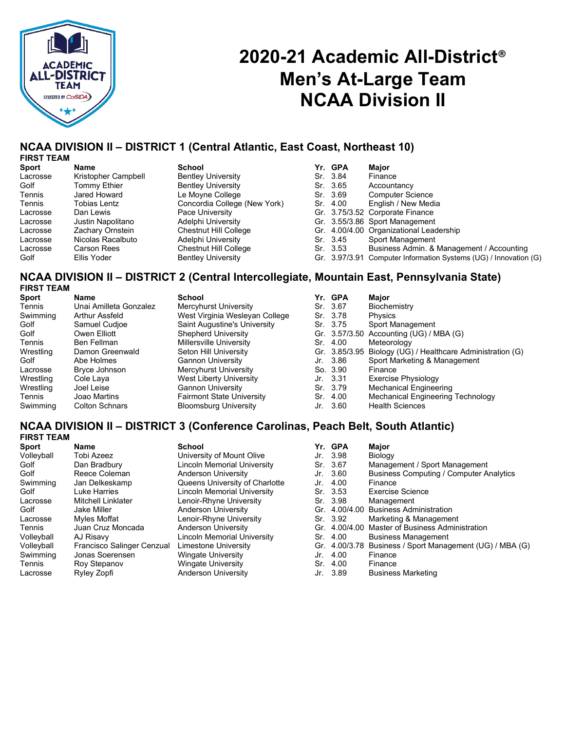

# **2020-21 Academic All-District**® **Men's At-Large Team NCAA Division II**

## **NCAA DIVISION II – DISTRICT 1 (Central Atlantic, East Coast, Northeast 10)**

| <b>FIRST TEAM</b> |  |
|-------------------|--|
|-------------------|--|

| Sport    | Name                | School                       | Yr. GPA  | Major                                                            |
|----------|---------------------|------------------------------|----------|------------------------------------------------------------------|
| Lacrosse | Kristopher Campbell | <b>Bentley University</b>    | Sr. 3.84 | Finance                                                          |
| Golf     | Tommy Ethier        | <b>Bentley University</b>    | Sr. 3.65 | Accountancy                                                      |
| Tennis   | Jared Howard        | Le Moyne College             | Sr. 3.69 | <b>Computer Science</b>                                          |
| Tennis   | Tobias Lentz        | Concordia College (New York) | Sr. 4.00 | English / New Media                                              |
| Lacrosse | Dan Lewis           | Pace University              |          | Gr. 3.75/3.52 Corporate Finance                                  |
| Lacrosse | Justin Napolitano   | Adelphi University           |          | Gr. 3.55/3.86 Sport Management                                   |
| Lacrosse | Zachary Ornstein    | <b>Chestnut Hill College</b> |          | Gr. 4.00/4.00 Organizational Leadership                          |
| Lacrosse | Nicolas Racalbuto   | Adelphi University           | Sr. 3.45 | Sport Management                                                 |
| Lacrosse | <b>Carson Rees</b>  | <b>Chestnut Hill College</b> | Sr. 3.53 | Business Admin. & Management / Accounting                        |
| Golf     | Ellis Yoder         | <b>Bentley University</b>    |          | Gr. 3.97/3.91 Computer Information Systems (UG) / Innovation (G) |

#### **NCAA DIVISION II – DISTRICT 2 (Central Intercollegiate, Mountain East, Pennsylvania State) FIRST TEAM**

| .         |                        |                                  |     |          |                                                            |
|-----------|------------------------|----------------------------------|-----|----------|------------------------------------------------------------|
| Sport     | Name                   | <b>School</b>                    |     | Yr. GPA  | Major                                                      |
| Tennis    | Unai Amilleta Gonzalez | Mercyhurst University            |     | Sr. 3.67 | Biochemistry                                               |
| Swimming  | Arthur Assfeld         | West Virginia Wesleyan College   |     | Sr. 3.78 | Physics                                                    |
| Golf      | Samuel Cudioe          | Saint Augustine's University     |     | Sr. 3.75 | Sport Management                                           |
| Golf      | Owen Elliott           | <b>Shepherd University</b>       |     |          | Gr. 3.57/3.50 Accounting (UG) / MBA (G)                    |
| Tennis    | Ben Fellman            | <b>Millersville University</b>   | Sr. | 4.00     | Meteorology                                                |
| Wrestling | Damon Greenwald        | Seton Hill University            |     |          | Gr. 3.85/3.95 Biology (UG) / Healthcare Administration (G) |
| Golf      | Abe Holmes             | <b>Gannon University</b>         |     | Jr. 3.86 | Sport Marketing & Management                               |
| Lacrosse  | Bryce Johnson          | Mercyhurst University            |     | So. 3.90 | Finance                                                    |
| Wrestling | Cole Laya              | West Liberty University          |     | Jr. 3.31 | Exercise Physiology                                        |
| Wrestling | Joel Leise             | <b>Gannon University</b>         |     | Sr. 3.79 | <b>Mechanical Engineering</b>                              |
| Tennis    | Joao Martins           | <b>Fairmont State University</b> | Sr. | 4.00     | Mechanical Engineering Technology                          |
| Swimming  | <b>Colton Schnars</b>  | <b>Bloomsburg University</b>     | Jr. | -3.60    | <b>Health Sciences</b>                                     |
|           |                        |                                  |     |          |                                                            |

## **NCAA DIVISION II – DISTRICT 3 (Conference Carolinas, Peach Belt, South Atlantic)**

| Name                       | <b>School</b>                      |                   | Major                                                                                                                                       |
|----------------------------|------------------------------------|-------------------|---------------------------------------------------------------------------------------------------------------------------------------------|
| Tobi Azeez                 | University of Mount Olive          |                   | Biology                                                                                                                                     |
| Dan Bradbury               | <b>Lincoln Memorial University</b> |                   | Management / Sport Management                                                                                                               |
| Reece Coleman              | Anderson University                |                   | <b>Business Computing / Computer Analytics</b>                                                                                              |
| Jan Delkeskamp             | Queens University of Charlotte     |                   | Finance                                                                                                                                     |
| Luke Harries               | Lincoln Memorial University        |                   | <b>Exercise Science</b>                                                                                                                     |
| <b>Mitchell Linklater</b>  | Lenoir-Rhyne University            |                   | Management                                                                                                                                  |
| Jake Miller                | Anderson University                |                   | Gr. 4.00/4.00 Business Administration                                                                                                       |
| Myles Moffat               | Lenoir-Rhyne University            |                   | Marketing & Management                                                                                                                      |
| Juan Cruz Moncada          | Anderson University                |                   | Gr. 4.00/4.00 Master of Business Administration                                                                                             |
| AJ Risavy                  | Lincoln Memorial University        |                   | <b>Business Management</b>                                                                                                                  |
| Francisco Salinger Cenzual | Limestone University               |                   | Gr. 4.00/3.78 Business / Sport Management (UG) / MBA (G)                                                                                    |
| Jonas Soerensen            | <b>Wingate University</b>          |                   | Finance                                                                                                                                     |
| Roy Stepanov               | <b>Wingate University</b>          |                   | Finance                                                                                                                                     |
| Ryley Zopfi                | Anderson University                |                   | <b>Business Marketing</b>                                                                                                                   |
|                            |                                    | <b>FIRST TEAM</b> | Yr. GPA<br>Jr. 3.98<br>Sr. 3.67<br>Jr. 3.60<br>Jr. 4.00<br>Sr. 3.53<br>Sr. 3.98<br>Sr. 3.92<br>Sr. 4.00<br>Jr. 4.00<br>Sr. 4.00<br>Jr. 3.89 |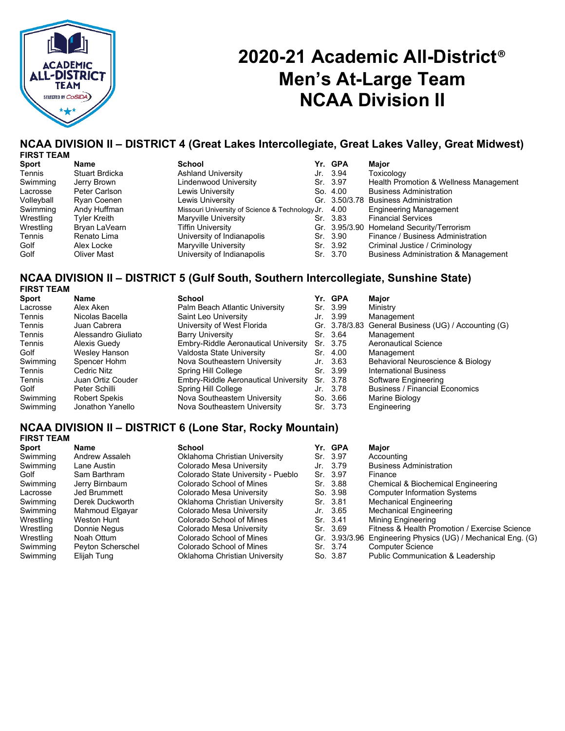

# **2020-21 Academic All-District**® **Men's At-Large Team NCAA Division II**

#### **NCAA DIVISION II – DISTRICT 4 (Great Lakes Intercollegiate, Great Lakes Valley, Great Midwest) FIRST TEAM**

| Sport      | Name               | <b>School</b>                                   | Yr. GPA  | Major                                           |
|------------|--------------------|-------------------------------------------------|----------|-------------------------------------------------|
| Tennis     | Stuart Brdicka     | <b>Ashland University</b>                       | Jr. 3.94 | Toxicology                                      |
| Swimming   | Jerry Brown        | Lindenwood University                           | Sr. 3.97 | Health Promotion & Wellness Management          |
| Lacrosse   | Peter Carlson      | Lewis University                                | So. 4.00 | <b>Business Administration</b>                  |
| Volleyball | Ryan Coenen        | Lewis University                                |          | Gr. 3.50/3.78 Business Administration           |
| Swimming   | Andy Huffman       | Missouri University of Science & Technology Jr. | 4.00     | <b>Engineering Management</b>                   |
| Wrestling  | Tyler Kreith       | Maryville University                            | Sr. 3.83 | <b>Financial Services</b>                       |
| Wrestling  | Bryan LaVearn      | <b>Tiffin University</b>                        |          | Gr. 3.95/3.90 Homeland Security/Terrorism       |
| Tennis     | Renato Lima        | University of Indianapolis                      | Sr. 3.90 | Finance / Business Administration               |
| Golf       | Alex Locke         | Maryville University                            | Sr. 3.92 | Criminal Justice / Criminology                  |
| Golf       | <b>Oliver Mast</b> | University of Indianapolis                      | Sr. 3.70 | <b>Business Administration &amp; Management</b> |
|            |                    |                                                 |          |                                                 |

### **NCAA DIVISION II – DISTRICT 5 (Gulf South, Southern Intercollegiate, Sunshine State) FIRST TEAM**

| <b>Sport</b> | Name                 | <b>School</b>                        |       | Yr. GPA  | Major                                                |
|--------------|----------------------|--------------------------------------|-------|----------|------------------------------------------------------|
| Lacrosse     | Alex Aken            | Palm Beach Atlantic University       |       | Sr. 3.99 | Ministry                                             |
| Tennis       | Nicolas Bacella      | Saint Leo University                 |       | Jr. 3.99 | Management                                           |
| Tennis       | Juan Cabrera         | University of West Florida           |       |          | Gr. 3.78/3.83 General Business (UG) / Accounting (G) |
| Tennis       | Alessandro Giuliato  | <b>Barry University</b>              |       | Sr. 3.64 | Management                                           |
| Tennis       | Alexis Guedy         | Embry-Riddle Aeronautical University |       | Sr. 3.75 | Aeronautical Science                                 |
| Golf         | Wesley Hanson        | Valdosta State University            |       | Sr. 4.00 | Management                                           |
| Swimming     | Spencer Hohm         | Nova Southeastern University         | Jr. I | - 3.63   | Behavioral Neuroscience & Biology                    |
| Tennis       | Cedric Nitz          | Spring Hill College                  |       | Sr. 3.99 | <b>International Business</b>                        |
| Tennis       | Juan Ortiz Couder    | Embry-Riddle Aeronautical University |       | Sr. 3.78 | Software Engineering                                 |
| Golf         | Peter Schilli        | Spring Hill College                  |       | Jr. 3.78 | <b>Business / Financial Economics</b>                |
| Swimming     | <b>Robert Spekis</b> | Nova Southeastern University         |       | So. 3.66 | Marine Biology                                       |
| Swimming     | Jonathon Yanello     | Nova Southeastern University         |       | Sr. 3.73 | Engineering                                          |

#### **NCAA DIVISION II – DISTRICT 6 (Lone Star, Rocky Mountain) FIRST TEAM**

| FIRSI I LAM |                   |                                    |          |                                                              |
|-------------|-------------------|------------------------------------|----------|--------------------------------------------------------------|
| Sport       | Name              | School                             | Yr. GPA  | Major                                                        |
| Swimming    | Andrew Assaleh    | Oklahoma Christian University      | Sr. 3.97 | Accounting                                                   |
| Swimming    | Lane Austin       | Colorado Mesa University           | Jr. 3.79 | <b>Business Administration</b>                               |
| Golf        | Sam Barthram      | Colorado State University - Pueblo | Sr. 3.97 | Finance                                                      |
| Swimming    | Jerry Birnbaum    | Colorado School of Mines           | Sr. 3.88 | Chemical & Biochemical Engineering                           |
| Lacrosse    | Jed Brummett      | Colorado Mesa University           | So. 3.98 | <b>Computer Information Systems</b>                          |
| Swimming    | Derek Duckworth   | Oklahoma Christian University      | Sr. 3.81 | Mechanical Engineering                                       |
| Swimming    | Mahmoud Elgayar   | Colorado Mesa University           | Jr. 3.65 | Mechanical Engineering                                       |
| Wrestling   | Weston Hunt       | Colorado School of Mines           | Sr. 3.41 | Mining Engineering                                           |
| Wrestling   | Donnie Negus      | Colorado Mesa University           | Sr. 3.69 | Fitness & Health Promotion / Exercise Science                |
| Wrestling   | Noah Ottum        | Colorado School of Mines           |          | Gr. 3.93/3.96 Engineering Physics (UG) / Mechanical Eng. (G) |
| Swimming    | Peyton Scherschel | Colorado School of Mines           | Sr. 3.74 | <b>Computer Science</b>                                      |
| Swimming    | Elijah Tung       | Oklahoma Christian University      | So. 3.87 | Public Communication & Leadership                            |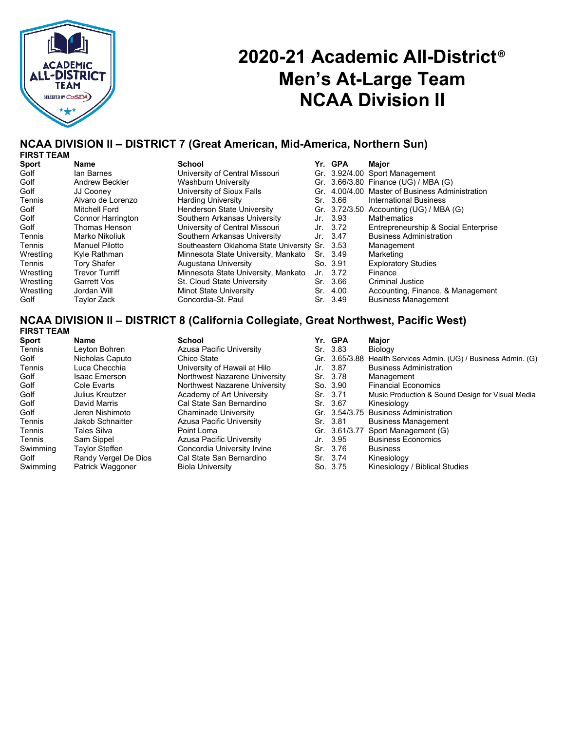

# **2020-21 Academic All-District**® **Men's At-Large Team NCAA Division II**

#### **NCAA DIVISION II – DISTRICT 7 (Great American, Mid-America, Northern Sun) FIRST TEAM**

| 1 1117.1 I LAM |                          |                                                 |     |          |                                                 |
|----------------|--------------------------|-------------------------------------------------|-----|----------|-------------------------------------------------|
| <b>Sport</b>   | Name                     | <b>School</b>                                   |     | Yr. GPA  | Major                                           |
| Golf           | lan Barnes               | University of Central Missouri                  |     |          | Gr. 3.92/4.00 Sport Management                  |
| Golf           | <b>Andrew Beckler</b>    | <b>Washburn University</b>                      |     |          | Gr. 3.66/3.80 Finance (UG) / MBA (G)            |
| Golf           | JJ Cooney                | University of Sioux Falls                       |     |          | Gr. 4.00/4.00 Master of Business Administration |
| Tennis         | Alvaro de Lorenzo        | <b>Harding University</b>                       |     | Sr. 3.66 | International Business                          |
| Golf           | Mitchell Ford            | <b>Henderson State University</b>               |     |          | Gr. 3.72/3.50 Accounting (UG) / MBA (G)         |
| Golf           | <b>Connor Harrington</b> | Southern Arkansas University                    |     | Jr. 3.93 | <b>Mathematics</b>                              |
| Golf           | Thomas Henson            | University of Central Missouri                  |     | Jr. 3.72 | Entrepreneurship & Social Enterprise            |
| Tennis         | Marko Nikoliuk           | Southern Arkansas University                    |     | Jr. 3.47 | <b>Business Administration</b>                  |
| Tennis         | <b>Manuel Pilotto</b>    | Southeastern Oklahoma State University Sr. 3.53 |     |          | Management                                      |
| Wrestling      | Kyle Rathman             | Minnesota State University, Mankato             |     | Sr. 3.49 | Marketing                                       |
| Tennis         | <b>Tory Shafer</b>       | Augustana University                            |     | So. 3.91 | <b>Exploratory Studies</b>                      |
| Wrestling      | <b>Trevor Turriff</b>    | Minnesota State University, Mankato             |     | Jr. 3.72 | Finance                                         |
| Wrestling      | Garrett Vos              | St. Cloud State University                      |     | Sr. 3.66 | Criminal Justice                                |
| Wrestling      | Jordan Will              | Minot State University                          | Sr. | 4.00     | Accounting, Finance, & Management               |
| Golf           | Tavlor Zack              | Concordia-St. Paul                              |     | Sr. 3.49 | <b>Business Management</b>                      |
|                |                          |                                                 |     |          |                                                 |

#### **NCAA DIVISION II – DISTRICT 8 (California Collegiate, Great Northwest, Pacific West) FIRST TEAM**

| <b>FINJI I EAIVI</b> |                       |                               |               |                                                                 |
|----------------------|-----------------------|-------------------------------|---------------|-----------------------------------------------------------------|
| <b>Sport</b>         | Name                  | <b>School</b>                 | Yr. GPA       | Major                                                           |
| Tennis               | Leyton Bohren         | Azusa Pacific University      | Sr. 3.83      | Biology                                                         |
| Golf                 | Nicholas Caputo       | Chico State                   |               | Gr. 3.65/3.88 Health Services Admin. (UG) / Business Admin. (G) |
| Tennis               | Luca Checchia         | University of Hawaii at Hilo  | Jr. 3.87      | <b>Business Administration</b>                                  |
| Golf                 | <b>Isaac Emerson</b>  | Northwest Nazarene University | Sr. 3.78      | Management                                                      |
| Golf                 | Cole Evarts           | Northwest Nazarene University | So. 3.90      | <b>Financial Economics</b>                                      |
| Golf                 | Julius Kreutzer       | Academy of Art University     | Sr. 3.71      | Music Production & Sound Design for Visual Media                |
| Golf                 | David Marris          | Cal State San Bernardino      | Sr. 3.67      | Kinesiology                                                     |
| Golf                 | Jeren Nishimoto       | <b>Chaminade University</b>   |               | Gr. 3.54/3.75 Business Administration                           |
| Tennis               | Jakob Schnaitter      | Azusa Pacific University      | Sr. 3.81      | <b>Business Management</b>                                      |
| Tennis               | Tales Silva           | Point Loma                    | Gr. 3.61/3.77 | Sport Management (G)                                            |
| Tennis               | Sam Sippel            | Azusa Pacific University      | Jr. 3.95      | <b>Business Economics</b>                                       |
| Swimming             | <b>Taylor Steffen</b> | Concordia University Irvine   | Sr. 3.76      | <b>Business</b>                                                 |
| Golf                 | Randy Vergel De Dios  | Cal State San Bernardino      | Sr. 3.74      | Kinesiology                                                     |
| Swimming             | Patrick Waggoner      | <b>Biola University</b>       | So. 3.75      | Kinesiology / Biblical Studies                                  |
|                      |                       |                               |               |                                                                 |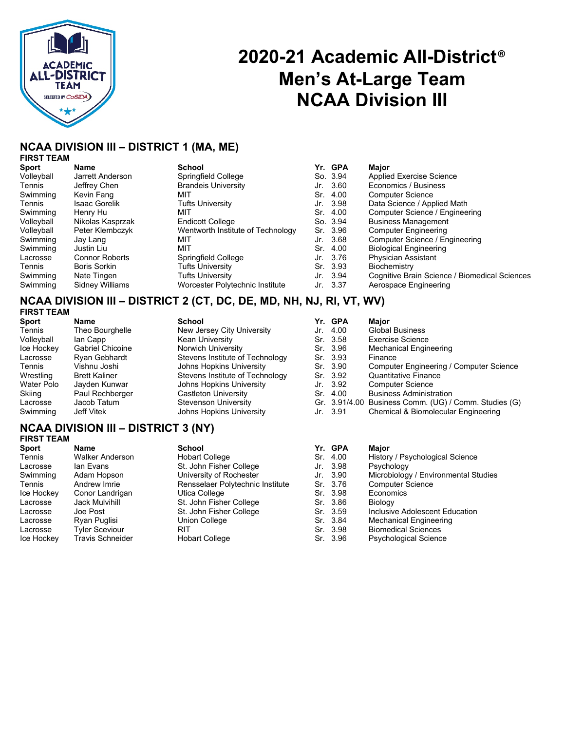

# **2020-21 Academic All-District**® **Men's At-Large Team NCAA Division III**

## **NCAA DIVISION III – DISTRICT 1 (MA, ME)**

## **FIRST TEAM**

| <b>Sport</b> | Name                  | <b>School</b>                     | Yr. GPA  | Major                                         |
|--------------|-----------------------|-----------------------------------|----------|-----------------------------------------------|
| Volleyball   | Jarrett Anderson      | Springfield College               | So. 3.94 | <b>Applied Exercise Science</b>               |
| Tennis       | Jeffrey Chen          | <b>Brandeis University</b>        | Jr. 3.60 | Economics / Business                          |
| Swimming     | Kevin Fang            | MIT                               | Sr. 4.00 | <b>Computer Science</b>                       |
| Tennis       | <b>Isaac Gorelik</b>  | <b>Tufts University</b>           | Jr. 3.98 | Data Science / Applied Math                   |
| Swimming     | Henry Hu              | MIT                               | Sr. 4.00 | Computer Science / Engineering                |
| Volleyball   | Nikolas Kasprzak      | <b>Endicott College</b>           | So. 3.94 | <b>Business Management</b>                    |
| Volleyball   | Peter Klembczyk       | Wentworth Institute of Technology | Sr. 3.96 | <b>Computer Engineering</b>                   |
| Swimming     | Jay Lang              | MIT                               | Jr. 3.68 | Computer Science / Engineering                |
| Swimming     | Justin Liu            | MIT                               | Sr. 4.00 | <b>Biological Engineering</b>                 |
| Lacrosse     | <b>Connor Roberts</b> | Springfield College               | Jr. 3.76 | <b>Physician Assistant</b>                    |
| Tennis       | Boris Sorkin          | <b>Tufts University</b>           | Sr. 3.93 | Biochemistry                                  |
| Swimming     | Nate Tingen           | <b>Tufts University</b>           | Jr. 3.94 | Cognitive Brain Science / Biomedical Sciences |
| Swimming     | Sidney Williams       | Worcester Polytechnic Institute   | Jr. 3.37 | Aerospace Engineering                         |

#### **NCAA DIVISION III – DISTRICT 2 (CT, DC, DE, MD, NH, NJ, RI, VT, WV) FIRST TEAM**

| .            |                         |                                 |     |          |                                                       |
|--------------|-------------------------|---------------------------------|-----|----------|-------------------------------------------------------|
| <b>Sport</b> | Name                    | School                          |     | Yr. GPA  | Major                                                 |
| Tennis       | Theo Bourghelle         | New Jersey City University      | Jr. | -4.00    | <b>Global Business</b>                                |
| Volleyball   | lan Capp                | <b>Kean University</b>          |     | Sr. 3.58 | Exercise Science                                      |
| Ice Hockey   | <b>Gabriel Chicoine</b> | Norwich University              |     | Sr. 3.96 | Mechanical Engineering                                |
| Lacrosse     | Ryan Gebhardt           | Stevens Institute of Technology |     | Sr. 3.93 | Finance                                               |
| Tennis       | Vishnu Joshi            | Johns Hopkins University        |     | Sr. 3.90 | Computer Engineering / Computer Science               |
| Wrestling    | <b>Brett Kaliner</b>    | Stevens Institute of Technology |     | Sr. 3.92 | <b>Quantitative Finance</b>                           |
| Water Polo   | Jayden Kunwar           | Johns Hopkins University        |     | Jr. 3.92 | <b>Computer Science</b>                               |
| Skiing       | Paul Rechberger         | Castleton University            |     | Sr. 4.00 | <b>Business Administration</b>                        |
| Lacrosse     | Jacob Tatum             | <b>Stevenson University</b>     |     |          | Gr. 3.91/4.00 Business Comm. (UG) / Comm. Studies (G) |
| Swimming     | Jeff Vitek              | Johns Hopkins University        |     | Jr. 3.91 | Chemical & Biomolecular Engineering                   |
|              |                         |                                 |     |          |                                                       |

### **NCAA DIVISION III – DISTRICT 3 (NY) FIRST TEAM**

| <b>Sport</b> | Name                    | <b>School</b>                    |     | Yr. GPA  | Major                                |
|--------------|-------------------------|----------------------------------|-----|----------|--------------------------------------|
| Tennis       | <b>Walker Anderson</b>  | <b>Hobart College</b>            | Sr. | 4.00     | History / Psychological Science      |
| Lacrosse     | lan Evans               | St. John Fisher College          |     | Jr. 3.98 | Psychology                           |
| Swimming     | Adam Hopson             | University of Rochester          |     | Jr. 3.90 | Microbiology / Environmental Studies |
| Tennis       | Andrew Imrie            | Rensselaer Polytechnic Institute |     | Sr. 3.76 | <b>Computer Science</b>              |
| Ice Hockey   | Conor Landrigan         | Utica College                    |     | Sr. 3.98 | Economics                            |
| Lacrosse     | <b>Jack Mulvihill</b>   | St. John Fisher College          |     | Sr. 3.86 | <b>Biology</b>                       |
| Lacrosse     | Joe Post                | St. John Fisher College          |     | Sr. 3.59 | Inclusive Adolescent Education       |
| Lacrosse     | Ryan Puglisi            | Union College                    |     | Sr. 3.84 | <b>Mechanical Engineering</b>        |
| Lacrosse     | <b>Tyler Sceviour</b>   | <b>RIT</b>                       |     | Sr. 3.98 | <b>Biomedical Sciences</b>           |
| Ice Hockey   | <b>Travis Schneider</b> | <b>Hobart College</b>            |     | Sr. 3.96 | <b>Psychological Science</b>         |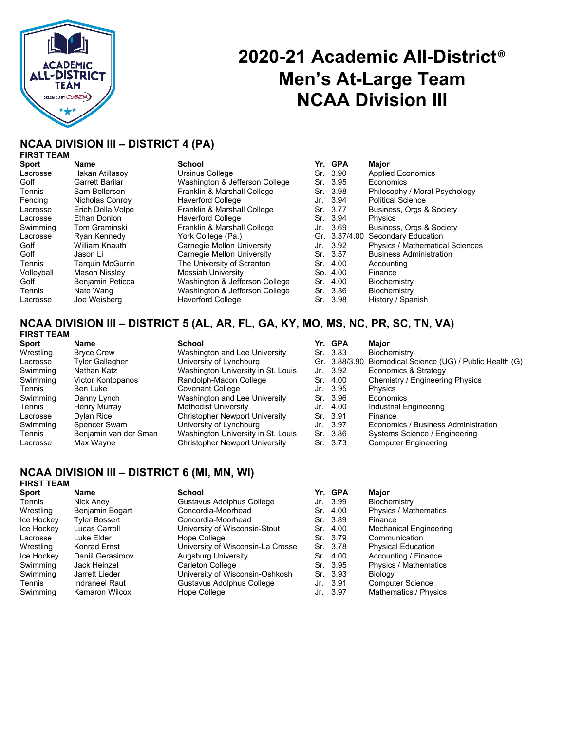

# **2020-21 Academic All-District**® **Men's At-Large Team NCAA Division III**

### **NCAA DIVISION III – DISTRICT 4 (PA) FIRST TEAM**

| <b>Sport</b> | <b>Name</b>             | <b>School</b>                  |     | Yr. GPA  | Maior                                  |
|--------------|-------------------------|--------------------------------|-----|----------|----------------------------------------|
| Lacrosse     | Hakan Atillasoy         | Ursinus College                |     | Sr. 3.90 | <b>Applied Economics</b>               |
| Golf         | Garrett Barilar         | Washington & Jefferson College |     | Sr. 3.95 | Economics                              |
| Tennis       | Sam Bellersen           | Franklin & Marshall College    |     | Sr. 3.98 | Philosophy / Moral Psychology          |
| Fencing      | Nicholas Conroy         | <b>Haverford College</b>       |     | Jr. 3.94 | <b>Political Science</b>               |
| Lacrosse     | Erich Della Volpe       | Franklin & Marshall College    |     | Sr. 3.77 | Business, Orgs & Society               |
| Lacrosse     | Ethan Donlon            | <b>Haverford College</b>       |     | Sr. 3.94 | <b>Physics</b>                         |
| Swimming     | Tom Graminski           | Franklin & Marshall College    |     | Jr. 3.69 | Business, Orgs & Society               |
| Lacrosse     | Ryan Kennedy            | York College (Pa.)             |     |          | Gr. 3.37/4.00 Secondary Education      |
| Golf         | William Knauth          | Carnegie Mellon University     |     | Jr. 3.92 | <b>Physics / Mathematical Sciences</b> |
| Golf         | Jason Li                | Carnegie Mellon University     |     | Sr. 3.57 | <b>Business Administration</b>         |
| Tennis       | <b>Tarquin McGurrin</b> | The University of Scranton     |     | Sr. 4.00 | Accounting                             |
| Volleyball   | <b>Mason Nisslev</b>    | <b>Messiah University</b>      |     | So. 4.00 | Finance                                |
| Golf         | Benjamin Peticca        | Washington & Jefferson College | Sr. | 4.00     | Biochemistry                           |
| Tennis       | Nate Wang               | Washington & Jefferson College |     | Sr. 3.86 | Biochemistry                           |
| Lacrosse     | Joe Weisberg            | <b>Haverford College</b>       |     | Sr. 3.98 | History / Spanish                      |

|     | Yr. GPA       | Major                                  |
|-----|---------------|----------------------------------------|
| Sr. | -3.90         | <b>Applied Economics</b>               |
|     | Sr. 3.95      | Fconomics                              |
|     | Sr. 3.98      | Philosophy / Moral Psychology          |
|     | Jr. 3.94      | <b>Political Science</b>               |
|     | Sr. 3.77      | Business, Orgs & Society               |
|     | Sr. 3.94      | Physics                                |
|     | Jr. 3.69      | Business, Orgs & Society               |
|     | Gr. 3.37/4.00 | <b>Secondary Education</b>             |
|     | Jr. 3.92      | <b>Physics / Mathematical Sciences</b> |
|     | Sr. 3.57      | <b>Business Administration</b>         |
| Sr. | 4.00          | Accounting                             |
|     | So. 4.00      | Finance                                |
|     | Sr. 4.00      | Biochemistry                           |
|     | Sr. 3.86      | Biochemistry                           |
|     | Sr. 3.98      | History / Spanish                      |

### **NCAA DIVISION III – DISTRICT 5 (AL, AR, FL, GA, KY, MO, MS, NC, PR, SC, TN, VA) FIRST TEAM**

| FIRSI IEAN |  |
|------------|--|
| <b>P</b>   |  |

| Name                  | <b>School</b>                         |     | Maior                                                                                                                   |
|-----------------------|---------------------------------------|-----|-------------------------------------------------------------------------------------------------------------------------|
| <b>Brvce Crew</b>     | Washington and Lee University         |     | Biochemistry                                                                                                            |
| Tyler Gallagher       | University of Lynchburg               |     | Gr. 3.88/3.90 Biomedical Science (UG) / Public Health (G)                                                               |
| Nathan Katz           | Washington University in St. Louis    |     | Economics & Strategy                                                                                                    |
| Victor Kontopanos     | Randolph-Macon College                |     | Chemistry / Engineering Physics                                                                                         |
| Ben Luke              | <b>Covenant College</b>               | Jr. | Physics                                                                                                                 |
| Danny Lynch           | Washington and Lee University         |     | Economics                                                                                                               |
| Henry Murray          | Methodist University                  | Jr. | Industrial Engineering                                                                                                  |
| <b>Dylan Rice</b>     | <b>Christopher Newport University</b> |     | Finance                                                                                                                 |
| Spencer Swam          | University of Lynchburg               | Jr. | Economics / Business Administration                                                                                     |
| Benjamin van der Sman | Washington University in St. Louis    |     | Systems Science / Engineering                                                                                           |
| Max Wayne             | Christopher Newport University        |     | <b>Computer Engineering</b>                                                                                             |
|                       |                                       |     | Yr. GPA<br>Sr. 3.83<br>Jr. 3.92<br>Sr. 4.00<br>- 3.95<br>Sr. 3.96<br>4.00<br>Sr. 3.91<br>- 3.97<br>Sr. 3.86<br>Sr. 3.73 |

## **NCAA DIVISION III – DISTRICT 6 (MI, MN, WI)**

## **FIRST TEAM**

| <b>Sport</b> | <b>Name</b>           | <b>School</b>                     | Yr. GPA  | Major                     |
|--------------|-----------------------|-----------------------------------|----------|---------------------------|
| Tennis       | Nick Aney             | Gustavus Adolphus College         | Jr. 3.99 | Biochemistry              |
| Wrestling    | Benjamin Bogart       | Concordia-Moorhead                | Sr. 4.00 | Physics / Mathematics     |
| Ice Hockey   | <b>Tyler Bossert</b>  | Concordia-Moorhead                | Sr. 3.89 | Finance                   |
| Ice Hockey   | Lucas Carroll         | University of Wisconsin-Stout     | Sr. 4.00 | Mechanical Engineering    |
| Lacrosse     | Luke Elder            | Hope College                      | Sr. 3.79 | Communication             |
| Wrestling    | Konrad Ernst          | University of Wisconsin-La Crosse | Sr. 3.78 | <b>Physical Education</b> |
| Ice Hockey   | Daniil Gerasimov      | Augsburg University               | Sr. 4.00 | Accounting / Finance      |
| Swimming     | Jack Heinzel          | Carleton College                  | Sr. 3.95 | Physics / Mathematics     |
| Swimming     | Jarrett Lieder        | University of Wisconsin-Oshkosh   | Sr. 3.93 | Biology                   |
| Tennis       | Indraneel Raut        | Gustavus Adolphus College         | Jr. 3.91 | <b>Computer Science</b>   |
| Swimming     | <b>Kamaron Wilcox</b> | Hope College                      | Jr. 3.97 | Mathematics / Physics     |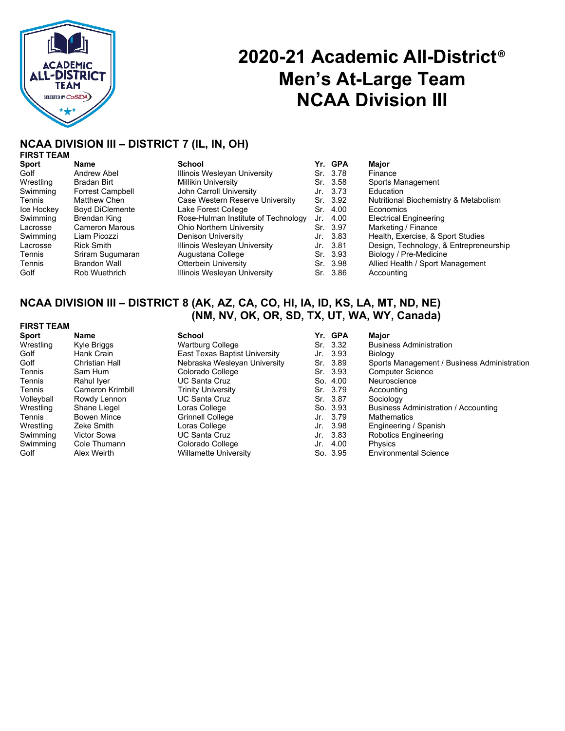

## **2020-21 Academic All-District**® **Men's At-Large Team NCAA Division III**

#### **NCAA DIVISION III – DISTRICT 7 (IL, IN, OH) FIRST TEAM**

| <b>Sport</b> | Name                    | School                              | Yr. GPA  | Major                                  |
|--------------|-------------------------|-------------------------------------|----------|----------------------------------------|
| Golf         | Andrew Abel             | Illinois Wesleyan University        | Sr. 3.78 | Finance                                |
| Wrestling    | Bradan Birt             | <b>Millikin University</b>          | Sr. 3.58 | Sports Management                      |
| Swimming     | <b>Forrest Campbell</b> | John Carroll University             | Jr. 3.73 | Education                              |
| Tennis       | Matthew Chen            | Case Western Reserve University     | Sr. 3.92 | Nutritional Biochemistry & Metabolism  |
| Ice Hockey   | <b>Boyd DiClemente</b>  | Lake Forest College                 | Sr. 4.00 | Economics                              |
| Swimming     | Brendan King            | Rose-Hulman Institute of Technology | Jr. 4.00 | <b>Electrical Engineering</b>          |
| Lacrosse     | <b>Cameron Marous</b>   | <b>Ohio Northern University</b>     | Sr. 3.97 | Marketing / Finance                    |
| Swimming     | Liam Picozzi            | Denison University                  | Jr. 3.83 | Health, Exercise, & Sport Studies      |
| Lacrosse     | <b>Rick Smith</b>       | Illinois Wesleyan University        | Jr. 3.81 | Design, Technology, & Entrepreneurship |
| Tennis       | Sriram Sugumaran        | Augustana College                   | Sr. 3.93 | Biology / Pre-Medicine                 |
| Tennis       | <b>Brandon Wall</b>     | <b>Otterbein University</b>         | Sr. 3.98 | Allied Health / Sport Management       |
| Golf         | Rob Wuethrich           | Illinois Wesleyan University        | Sr. 3.86 | Accounting                             |
|              |                         |                                     |          |                                        |

## **NCAA DIVISION III – DISTRICT 8 (AK, AZ, CA, CO, HI, IA, ID, KS, LA, MT, ND, NE) (NM, NV, OK, OR, SD, TX, UT, WA, WY, Canada)**

### **FIRST TEAM**

| <b>Sport</b> | Name               | <b>School</b>                 | Yr. GPA  | Major                                       |
|--------------|--------------------|-------------------------------|----------|---------------------------------------------|
| Wrestling    | Kyle Briggs        | <b>Wartburg College</b>       | Sr. 3.32 | <b>Business Administration</b>              |
| Golf         | Hank Crain         | East Texas Baptist University | Jr. 3.93 | <b>Biology</b>                              |
| Golf         | Christian Hall     | Nebraska Wesleyan University  | Sr. 3.89 | Sports Management / Business Administration |
| Tennis       | Sam Hum            | Colorado College              | Sr. 3.93 | <b>Computer Science</b>                     |
| Tennis       | Rahul Iyer         | <b>UC Santa Cruz</b>          | So. 4.00 | Neuroscience                                |
| Tennis       | Cameron Krimbill   | <b>Trinity University</b>     | Sr. 3.79 | Accounting                                  |
| Volleyball   | Rowdy Lennon       | <b>UC Santa Cruz</b>          | Sr. 3.87 | Sociology                                   |
| Wrestling    | Shane Liegel       | Loras College                 | So. 3.93 | Business Administration / Accounting        |
| Tennis       | <b>Bowen Mince</b> | Grinnell College              | Jr. 3.79 | <b>Mathematics</b>                          |
| Wrestling    | Zeke Smith         | Loras College                 | Jr. 3.98 | Engineering / Spanish                       |
| Swimming     | Victor Sowa        | <b>UC Santa Cruz</b>          | Jr. 3.83 | Robotics Engineering                        |
| Swimming     | Cole Thumann       | Colorado College              | Jr. 4.00 | Physics                                     |
| Golf         | Alex Weirth        | <b>Willamette University</b>  | So. 3.95 | <b>Environmental Science</b>                |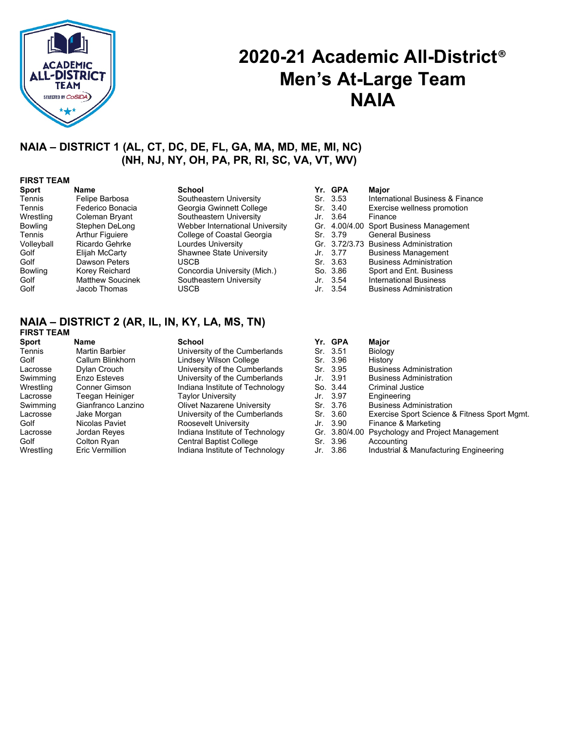

# **2020-21 Academic All-District**® **Men's At-Large Team NAIA**

## **NAIA – DISTRICT 1 (AL, CT, DC, DE, FL, GA, MA, MD, ME, MI, NC) (NH, NJ, NY, OH, PA, PR, RI, SC, VA, VT, WV)**

#### **FIRST TEAM**

| Sport          | Name                    | <b>School</b>                   | Yr. GPA  | Maior                                   |
|----------------|-------------------------|---------------------------------|----------|-----------------------------------------|
| Tennis         | Felipe Barbosa          | Southeastern University         | Sr. 3.53 | International Business & Finance        |
| Tennis         | Federico Bonacia        | Georgia Gwinnett College        | Sr. 3.40 | Exercise wellness promotion             |
| Wrestling      | Coleman Bryant          | Southeastern University         | Jr. 3.64 | Finance                                 |
| <b>Bowling</b> | Stephen DeLong          | Webber International University |          | Gr. 4.00/4.00 Sport Business Management |
| Tennis         | <b>Arthur Figuiere</b>  | College of Coastal Georgia      | Sr. 3.79 | <b>General Business</b>                 |
| Volleyball     | Ricardo Gehrke          | Lourdes University              |          | Gr. 3.72/3.73 Business Administration   |
| Golf           | Elijah McCarty          | Shawnee State University        | Jr. 3.77 | <b>Business Management</b>              |
| Golf           | Dawson Peters           | <b>USCB</b>                     | Sr. 3.63 | <b>Business Administration</b>          |
| <b>Bowling</b> | Korey Reichard          | Concordia University (Mich.)    | So. 3.86 | Sport and Ent. Business                 |
| Golf           | <b>Matthew Soucinek</b> | Southeastern University         | Jr. 3.54 | <b>International Business</b>           |
| Golf           | Jacob Thomas            | <b>USCB</b>                     | Jr. 3.54 | <b>Business Administration</b>          |

## **NAIA – DISTRICT 2 (AR, IL, IN, KY, LA, MS, TN)**

| Major                                           |
|-------------------------------------------------|
| Biology                                         |
| History                                         |
| <b>Business Administration</b>                  |
| <b>Business Administration</b>                  |
| Criminal Justice                                |
| Engineering                                     |
| <b>Business Administration</b>                  |
| Exercise Sport Science & Fitness Sport Mgmt.    |
| Finance & Marketing                             |
| Gr. 3.80/4.00 Psychology and Project Management |
| Accounting                                      |
| Industrial & Manufacturing Engineering          |
|                                                 |